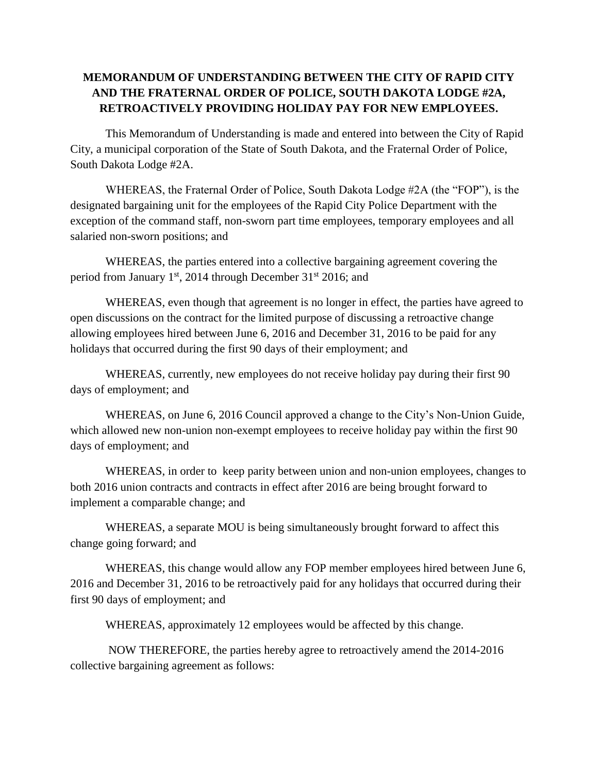## **MEMORANDUM OF UNDERSTANDING BETWEEN THE CITY OF RAPID CITY AND THE FRATERNAL ORDER OF POLICE, SOUTH DAKOTA LODGE #2A, RETROACTIVELY PROVIDING HOLIDAY PAY FOR NEW EMPLOYEES.**

This Memorandum of Understanding is made and entered into between the City of Rapid City, a municipal corporation of the State of South Dakota, and the Fraternal Order of Police, South Dakota Lodge #2A.

WHEREAS, the Fraternal Order of Police, South Dakota Lodge #2A (the "FOP"), is the designated bargaining unit for the employees of the Rapid City Police Department with the exception of the command staff, non-sworn part time employees, temporary employees and all salaried non-sworn positions; and

WHEREAS, the parties entered into a collective bargaining agreement covering the period from January  $1<sup>st</sup>$ , 2014 through December 31 $<sup>st</sup>$  2016; and</sup>

WHEREAS, even though that agreement is no longer in effect, the parties have agreed to open discussions on the contract for the limited purpose of discussing a retroactive change allowing employees hired between June 6, 2016 and December 31, 2016 to be paid for any holidays that occurred during the first 90 days of their employment; and

WHEREAS, currently, new employees do not receive holiday pay during their first 90 days of employment; and

WHEREAS, on June 6, 2016 Council approved a change to the City's Non-Union Guide, which allowed new non-union non-exempt employees to receive holiday pay within the first 90 days of employment; and

WHEREAS, in order to keep parity between union and non-union employees, changes to both 2016 union contracts and contracts in effect after 2016 are being brought forward to implement a comparable change; and

WHEREAS, a separate MOU is being simultaneously brought forward to affect this change going forward; and

WHEREAS, this change would allow any FOP member employees hired between June 6, 2016 and December 31, 2016 to be retroactively paid for any holidays that occurred during their first 90 days of employment; and

WHEREAS, approximately 12 employees would be affected by this change.

NOW THEREFORE, the parties hereby agree to retroactively amend the 2014-2016 collective bargaining agreement as follows: